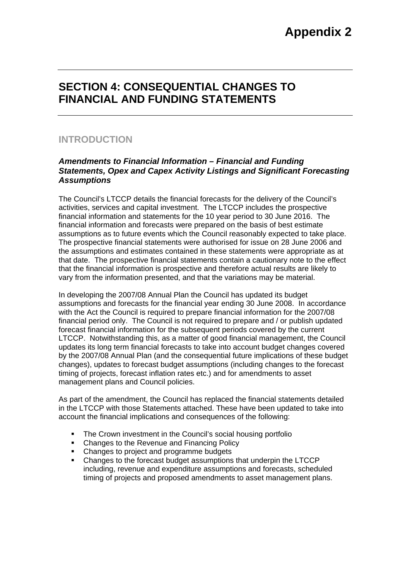## **SECTION 4: CONSEQUENTIAL CHANGES TO FINANCIAL AND FUNDING STATEMENTS**

### **INTRODUCTION**

#### *Amendments to Financial Information – Financial and Funding Statements, Opex and Capex Activity Listings and Significant Forecasting Assumptions*

The Council's LTCCP details the financial forecasts for the delivery of the Council's activities, services and capital investment. The LTCCP includes the prospective financial information and statements for the 10 year period to 30 June 2016. The financial information and forecasts were prepared on the basis of best estimate assumptions as to future events which the Council reasonably expected to take place. The prospective financial statements were authorised for issue on 28 June 2006 and the assumptions and estimates contained in these statements were appropriate as at that date. The prospective financial statements contain a cautionary note to the effect that the financial information is prospective and therefore actual results are likely to vary from the information presented, and that the variations may be material.

In developing the 2007/08 Annual Plan the Council has updated its budget assumptions and forecasts for the financial year ending 30 June 2008. In accordance with the Act the Council is required to prepare financial information for the 2007/08 financial period only. The Council is not required to prepare and / or publish updated forecast financial information for the subsequent periods covered by the current LTCCP. Notwithstanding this, as a matter of good financial management, the Council updates its long term financial forecasts to take into account budget changes covered by the 2007/08 Annual Plan (and the consequential future implications of these budget changes), updates to forecast budget assumptions (including changes to the forecast timing of projects, forecast inflation rates etc.) and for amendments to asset management plans and Council policies.

As part of the amendment, the Council has replaced the financial statements detailed in the LTCCP with those Statements attached. These have been updated to take into account the financial implications and consequences of the following:

- The Crown investment in the Council's social housing portfolio
- Changes to the Revenue and Financing Policy
- Changes to project and programme budgets
- Changes to the forecast budget assumptions that underpin the LTCCP including, revenue and expenditure assumptions and forecasts, scheduled timing of projects and proposed amendments to asset management plans.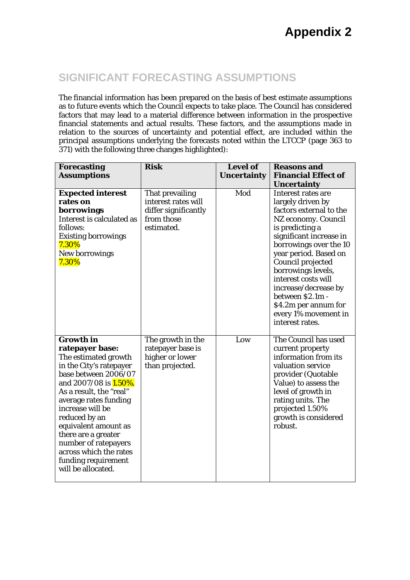# **Appendix 2**

## **SIGNIFICANT FORECASTING ASSUMPTIONS**

The financial information has been prepared on the basis of best estimate assumptions as to future events which the Council expects to take place. The Council has considered factors that may lead to a material difference between information in the prospective financial statements and actual results. These factors, and the assumptions made in relation to the sources of uncertainty and potential effect, are included within the principal assumptions underlying the forecasts noted within the LTCCP (page 363 to 371) with the following three changes highlighted):

| <b>Forecasting</b>                                                                                                                                                                                                                                                                                                                                                                    | <b>Risk</b>                                                                                | <b>Level of</b>    | <b>Reasons and</b><br><b>Financial Effect of</b>                                                                                                                                                                                                                                                                                                                            |
|---------------------------------------------------------------------------------------------------------------------------------------------------------------------------------------------------------------------------------------------------------------------------------------------------------------------------------------------------------------------------------------|--------------------------------------------------------------------------------------------|--------------------|-----------------------------------------------------------------------------------------------------------------------------------------------------------------------------------------------------------------------------------------------------------------------------------------------------------------------------------------------------------------------------|
| <b>Assumptions</b>                                                                                                                                                                                                                                                                                                                                                                    |                                                                                            | <b>Uncertainty</b> | <b>Uncertainty</b>                                                                                                                                                                                                                                                                                                                                                          |
| <b>Expected interest</b><br>rates on<br>borrowings<br>Interest is calculated as<br>follows:<br><b>Existing borrowings</b><br>7.30%<br>New borrowings<br>7.30%                                                                                                                                                                                                                         | That prevailing<br>interest rates will<br>differ significantly<br>from those<br>estimated. | Mod                | Interest rates are<br>largely driven by<br>factors external to the<br>NZ economy. Council<br>is predicting a<br>significant increase in<br>borrowings over the 10<br>year period. Based on<br>Council projected<br>borrowings levels,<br>interest costs will<br>increase/decrease by<br>between \$2.1m -<br>\$4.2m per annum for<br>every 1% movement in<br>interest rates. |
| <b>Growth in</b><br>ratepayer base:<br>The estimated growth<br>in the City's ratepayer<br>base between 2006/07<br>and 2007/08 is <b>1.50%.</b><br>As a result, the "real"<br>average rates funding<br>increase will be<br>reduced by an<br>equivalent amount as<br>there are a greater<br>number of ratepayers<br>across which the rates<br>funding requirement<br>will be allocated. | The growth in the<br>ratepayer base is<br>higher or lower<br>than projected.               | Low                | The Council has used<br>current property<br>information from its<br>valuation service<br>provider (Quotable<br>Value) to assess the<br>level of growth in<br>rating units. The<br>projected 1.50%<br>growth is considered<br>robust.                                                                                                                                        |